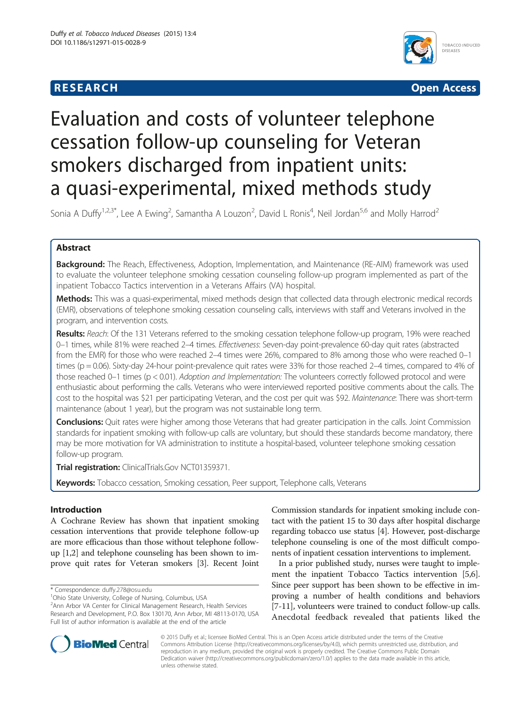# **RESEARCH CHINESE ARCH CHINESE ARCHITECT ARCHITECT ARCHITECT ARCHITECT ARCHITECT ARCHITECT ARCHITECT ARCHITECT ARCHITECT ARCHITECT ARCHITECT ARCHITECT ARCHITECT ARCHITECT ARCHITECT ARCHITECT ARCHITECT ARCHITECT ARCHITE**



# Evaluation and costs of volunteer telephone cessation follow-up counseling for Veteran smokers discharged from inpatient units: a quasi-experimental, mixed methods study

Sonia A Duffy<sup>1,2,3\*</sup>, Lee A Ewing<sup>2</sup>, Samantha A Louzon<sup>2</sup>, David L Ronis<sup>4</sup>, Neil Jordan<sup>5,6</sup> and Molly Harrod<sup>2</sup>

# Abstract

Background: The Reach, Effectiveness, Adoption, Implementation, and Maintenance (RE-AIM) framework was used to evaluate the volunteer telephone smoking cessation counseling follow-up program implemented as part of the inpatient Tobacco Tactics intervention in a Veterans Affairs (VA) hospital.

Methods: This was a quasi-experimental, mixed methods design that collected data through electronic medical records (EMR), observations of telephone smoking cessation counseling calls, interviews with staff and Veterans involved in the program, and intervention costs.

Results: Reach: Of the 131 Veterans referred to the smoking cessation telephone follow-up program, 19% were reached 0-1 times, while 81% were reached 2-4 times. Effectiveness: Seven-day point-prevalence 60-day quit rates (abstracted from the EMR) for those who were reached 2–4 times were 26%, compared to 8% among those who were reached 0–1 times (p = 0.06). Sixty-day 24-hour point-prevalence quit rates were 33% for those reached 2–4 times, compared to 4% of those reached 0–1 times (p < 0.01). Adoption and Implementation: The volunteers correctly followed protocol and were enthusiastic about performing the calls. Veterans who were interviewed reported positive comments about the calls. The cost to the hospital was \$21 per participating Veteran, and the cost per quit was \$92. Maintenance: There was short-term maintenance (about 1 year), but the program was not sustainable long term.

Conclusions: Quit rates were higher among those Veterans that had greater participation in the calls. Joint Commission standards for inpatient smoking with follow-up calls are voluntary, but should these standards become mandatory, there may be more motivation for VA administration to institute a hospital-based, volunteer telephone smoking cessation follow-up program.

Trial registration: ClinicalTrials.Gov [NCT01359371](https://clinicaltrials.gov/ct2/show/NCT01359371).

Keywords: Tobacco cessation, Smoking cessation, Peer support, Telephone calls, Veterans

# Introduction

A Cochrane Review has shown that inpatient smoking cessation interventions that provide telephone follow-up are more efficacious than those without telephone followup [\[1,2](#page-6-0)] and telephone counseling has been shown to improve quit rates for Veteran smokers [\[3\]](#page-6-0). Recent Joint

\* Correspondence: [duffy.278@osu.edu](mailto:duffy.278@osu.edu) <sup>1</sup>

Ohio State University, College of Nursing, Columbus, USA 2 Ann Arbor VA Center for Clinical Management Research, Health Services Research and Development, P.O. Box 130170, Ann Arbor, MI 48113-0170, USA Full list of author information is available at the end of the article

Commission standards for inpatient smoking include contact with the patient 15 to 30 days after hospital discharge regarding tobacco use status [[4](#page-6-0)]. However, post-discharge telephone counseling is one of the most difficult components of inpatient cessation interventions to implement.

In a prior published study, nurses were taught to implement the inpatient Tobacco Tactics intervention [[5](#page-6-0),[6](#page-6-0)]. Since peer support has been shown to be effective in improving a number of health conditions and behaviors [[7-11\]](#page-6-0), volunteers were trained to conduct follow-up calls. Anecdotal feedback revealed that patients liked the



© 2015 Duffy et al.; licensee BioMed Central. This is an Open Access article distributed under the terms of the Creative Commons Attribution License [\(http://creativecommons.org/licenses/by/4.0\)](http://creativecommons.org/licenses/by/4.0), which permits unrestricted use, distribution, and reproduction in any medium, provided the original work is properly credited. The Creative Commons Public Domain Dedication waiver [\(http://creativecommons.org/publicdomain/zero/1.0/](http://creativecommons.org/publicdomain/zero/1.0/)) applies to the data made available in this article, unless otherwise stated.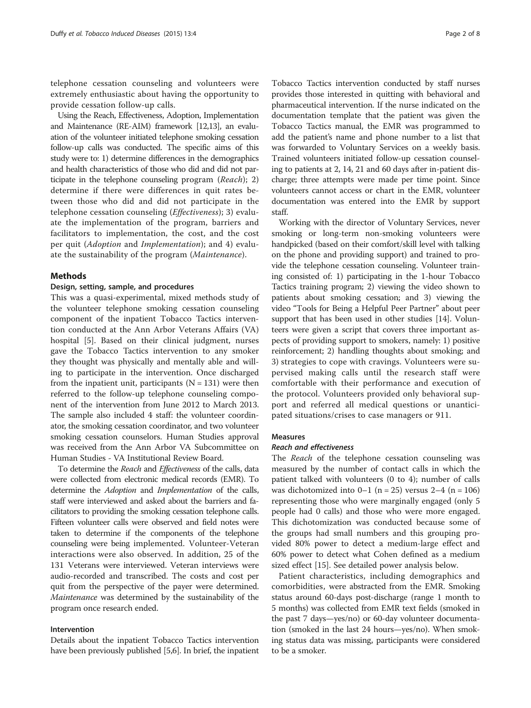telephone cessation counseling and volunteers were extremely enthusiastic about having the opportunity to provide cessation follow-up calls.

Using the Reach, Effectiveness, Adoption, Implementation and Maintenance (RE-AIM) framework [\[12,13\]](#page-6-0), an evaluation of the volunteer initiated telephone smoking cessation follow-up calls was conducted. The specific aims of this study were to: 1) determine differences in the demographics and health characteristics of those who did and did not participate in the telephone counseling program (Reach); 2) determine if there were differences in quit rates between those who did and did not participate in the telephone cessation counseling (Effectiveness); 3) evaluate the implementation of the program, barriers and facilitators to implementation, the cost, and the cost per quit (Adoption and Implementation); and 4) evaluate the sustainability of the program (Maintenance).

### Methods

# Design, setting, sample, and procedures

This was a quasi-experimental, mixed methods study of the volunteer telephone smoking cessation counseling component of the inpatient Tobacco Tactics intervention conducted at the Ann Arbor Veterans Affairs (VA) hospital [\[5](#page-6-0)]. Based on their clinical judgment, nurses gave the Tobacco Tactics intervention to any smoker they thought was physically and mentally able and willing to participate in the intervention. Once discharged from the inpatient unit, participants  $(N = 131)$  were then referred to the follow-up telephone counseling component of the intervention from June 2012 to March 2013. The sample also included 4 staff: the volunteer coordinator, the smoking cessation coordinator, and two volunteer smoking cessation counselors. Human Studies approval was received from the Ann Arbor VA Subcommittee on Human Studies - VA Institutional Review Board.

To determine the Reach and Effectiveness of the calls, data were collected from electronic medical records (EMR). To determine the Adoption and Implementation of the calls, staff were interviewed and asked about the barriers and facilitators to providing the smoking cessation telephone calls. Fifteen volunteer calls were observed and field notes were taken to determine if the components of the telephone counseling were being implemented. Volunteer-Veteran interactions were also observed. In addition, 25 of the 131 Veterans were interviewed. Veteran interviews were audio-recorded and transcribed. The costs and cost per quit from the perspective of the payer were determined. Maintenance was determined by the sustainability of the program once research ended.

#### Intervention

Details about the inpatient Tobacco Tactics intervention have been previously published [[5,6](#page-6-0)]. In brief, the inpatient

Tobacco Tactics intervention conducted by staff nurses provides those interested in quitting with behavioral and pharmaceutical intervention. If the nurse indicated on the documentation template that the patient was given the Tobacco Tactics manual, the EMR was programmed to add the patient's name and phone number to a list that was forwarded to Voluntary Services on a weekly basis. Trained volunteers initiated follow-up cessation counseling to patients at 2, 14, 21 and 60 days after in-patient discharge; three attempts were made per time point. Since volunteers cannot access or chart in the EMR, volunteer documentation was entered into the EMR by support staff.

Working with the director of Voluntary Services, never smoking or long-term non-smoking volunteers were handpicked (based on their comfort/skill level with talking on the phone and providing support) and trained to provide the telephone cessation counseling. Volunteer training consisted of: 1) participating in the 1-hour Tobacco Tactics training program; 2) viewing the video shown to patients about smoking cessation; and 3) viewing the video "Tools for Being a Helpful Peer Partner" about peer support that has been used in other studies [[14](#page-6-0)]. Volunteers were given a script that covers three important aspects of providing support to smokers, namely: 1) positive reinforcement; 2) handling thoughts about smoking; and 3) strategies to cope with cravings. Volunteers were supervised making calls until the research staff were comfortable with their performance and execution of the protocol. Volunteers provided only behavioral support and referred all medical questions or unanticipated situations/crises to case managers or 911.

#### Measures

## Reach and effectiveness

The Reach of the telephone cessation counseling was measured by the number of contact calls in which the patient talked with volunteers (0 to 4); number of calls was dichotomized into  $0-1$  (n = 25) versus 2-4 (n = 106) representing those who were marginally engaged (only 5 people had 0 calls) and those who were more engaged. This dichotomization was conducted because some of the groups had small numbers and this grouping provided 80% power to detect a medium-large effect and 60% power to detect what Cohen defined as a medium sized effect [\[15\]](#page-6-0). See detailed power analysis below.

Patient characteristics, including demographics and comorbidities, were abstracted from the EMR. Smoking status around 60-days post-discharge (range 1 month to 5 months) was collected from EMR text fields (smoked in the past 7 days—yes/no) or 60-day volunteer documentation (smoked in the last 24 hours—yes/no). When smoking status data was missing, participants were considered to be a smoker.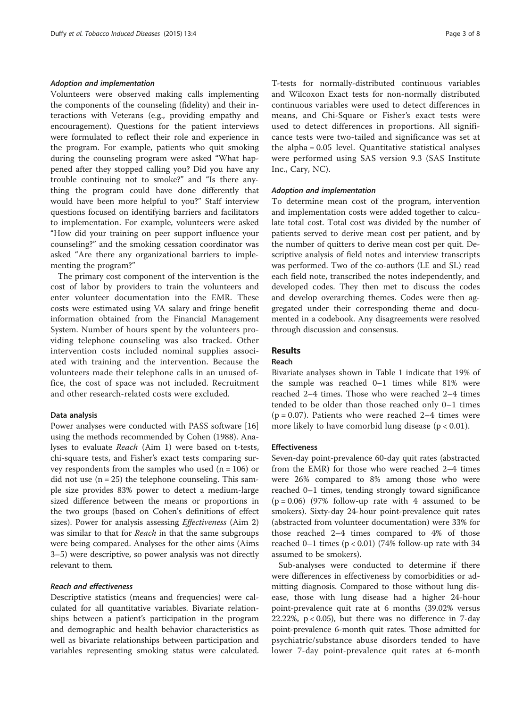#### Adoption and implementation

Volunteers were observed making calls implementing the components of the counseling (fidelity) and their interactions with Veterans (e.g., providing empathy and encouragement). Questions for the patient interviews were formulated to reflect their role and experience in the program. For example, patients who quit smoking during the counseling program were asked "What happened after they stopped calling you? Did you have any trouble continuing not to smoke?" and "Is there anything the program could have done differently that would have been more helpful to you?" Staff interview questions focused on identifying barriers and facilitators to implementation. For example, volunteers were asked "How did your training on peer support influence your counseling?" and the smoking cessation coordinator was asked "Are there any organizational barriers to implementing the program?"

The primary cost component of the intervention is the cost of labor by providers to train the volunteers and enter volunteer documentation into the EMR. These costs were estimated using VA salary and fringe benefit information obtained from the Financial Management System. Number of hours spent by the volunteers providing telephone counseling was also tracked. Other intervention costs included nominal supplies associated with training and the intervention. Because the volunteers made their telephone calls in an unused office, the cost of space was not included. Recruitment and other research-related costs were excluded.

# Data analysis

Power analyses were conducted with PASS software [[16](#page-6-0)] using the methods recommended by Cohen (1988). Analyses to evaluate Reach (Aim 1) were based on t-tests, chi-square tests, and Fisher's exact tests comparing survey respondents from the samples who used  $(n = 106)$  or did not use  $(n = 25)$  the telephone counseling. This sample size provides 83% power to detect a medium-large sized difference between the means or proportions in the two groups (based on Cohen's definitions of effect sizes). Power for analysis assessing *Effectiveness* (Aim 2) was similar to that for *Reach* in that the same subgroups were being compared. Analyses for the other aims (Aims 3–5) were descriptive, so power analysis was not directly relevant to them.

# Reach and effectiveness

Descriptive statistics (means and frequencies) were calculated for all quantitative variables. Bivariate relationships between a patient's participation in the program and demographic and health behavior characteristics as well as bivariate relationships between participation and variables representing smoking status were calculated. T-tests for normally-distributed continuous variables and Wilcoxon Exact tests for non-normally distributed continuous variables were used to detect differences in means, and Chi-Square or Fisher's exact tests were used to detect differences in proportions. All significance tests were two-tailed and significance was set at the alpha = 0.05 level. Quantitative statistical analyses were performed using SAS version 9.3 (SAS Institute Inc., Cary, NC).

#### Adoption and implementation

To determine mean cost of the program, intervention and implementation costs were added together to calculate total cost. Total cost was divided by the number of patients served to derive mean cost per patient, and by the number of quitters to derive mean cost per quit. Descriptive analysis of field notes and interview transcripts was performed. Two of the co-authors (LE and SL) read each field note, transcribed the notes independently, and developed codes. They then met to discuss the codes and develop overarching themes. Codes were then aggregated under their corresponding theme and documented in a codebook. Any disagreements were resolved through discussion and consensus.

# Results

# Reach

Bivariate analyses shown in Table [1](#page-3-0) indicate that 19% of the sample was reached 0–1 times while 81% were reached 2–4 times. Those who were reached 2–4 times tended to be older than those reached only 0–1 times  $(p = 0.07)$ . Patients who were reached 2–4 times were more likely to have comorbid lung disease  $(p < 0.01)$ .

#### Effectiveness

Seven-day point-prevalence 60-day quit rates (abstracted from the EMR) for those who were reached 2–4 times were 26% compared to 8% among those who were reached 0–1 times, tending strongly toward significance  $(p = 0.06)$  (97% follow-up rate with 4 assumed to be smokers). Sixty-day 24-hour point-prevalence quit rates (abstracted from volunteer documentation) were 33% for those reached 2–4 times compared to 4% of those reached 0–1 times ( $p < 0.01$ ) (74% follow-up rate with 34 assumed to be smokers).

Sub-analyses were conducted to determine if there were differences in effectiveness by comorbidities or admitting diagnosis. Compared to those without lung disease, those with lung disease had a higher 24-hour point-prevalence quit rate at 6 months (39.02% versus 22.22%,  $p < 0.05$ ), but there was no difference in 7-day point-prevalence 6-month quit rates. Those admitted for psychiatric/substance abuse disorders tended to have lower 7-day point-prevalence quit rates at 6-month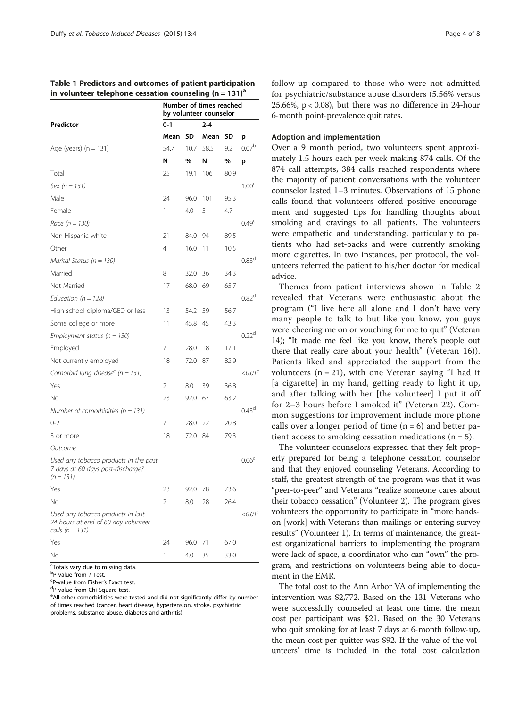<span id="page-3-0"></span>Table 1 Predictors and outcomes of patient participation in volunteer telephone cessation counseling  $(n = 131)^a$ 

|                                                                                               | Number of times reached<br>by volunteer counselor |      |         |      |                     |  |  |
|-----------------------------------------------------------------------------------------------|---------------------------------------------------|------|---------|------|---------------------|--|--|
| Predictor                                                                                     | $0 - 1$                                           |      | $2 - 4$ |      |                     |  |  |
|                                                                                               | Mean                                              | SD   | Mean    | SD   | p                   |  |  |
| Age (years) $(n = 131)$                                                                       | 54.7                                              | 10.7 | 58.5    | 9.2  | $0.07^{b}$          |  |  |
|                                                                                               | N                                                 | %    | N       | %    | p                   |  |  |
| Total                                                                                         | 25                                                | 19.1 | 106     | 80.9 |                     |  |  |
| Sex ( $n = 131$ )                                                                             |                                                   |      |         |      | 1.00 <sup>c</sup>   |  |  |
| Male                                                                                          | 24                                                | 96.0 | 101     | 95.3 |                     |  |  |
| Female                                                                                        | 1                                                 | 4.0  | 5       | 4.7  |                     |  |  |
| Race $(n = 130)$                                                                              |                                                   |      |         |      | 0.49 <sup>c</sup>   |  |  |
| Non-Hispanic white                                                                            | 21                                                | 84.0 | 94      | 89.5 |                     |  |  |
| Other                                                                                         | 4                                                 | 16.0 | 11      | 10.5 |                     |  |  |
| Marital Status ( $n = 130$ )                                                                  |                                                   |      |         |      | 0.83 <sup>d</sup>   |  |  |
| Married                                                                                       | 8                                                 | 32.0 | 36      | 34.3 |                     |  |  |
| Not Married                                                                                   | 17                                                | 68.0 | 69      | 65.7 |                     |  |  |
| Education ( $n = 128$ )                                                                       |                                                   |      |         |      | 0.82 <sup>d</sup>   |  |  |
| High school diploma/GED or less                                                               | 13                                                | 54.2 | 59      | 56.7 |                     |  |  |
| Some college or more                                                                          | 11                                                | 45.8 | 45      | 43.3 |                     |  |  |
| Employment status ( $n = 130$ )                                                               |                                                   |      |         |      | $0.22^d$            |  |  |
| Employed                                                                                      | 7                                                 | 28.0 | 18      | 17.1 |                     |  |  |
| Not currently employed                                                                        | 18                                                | 72.0 | 87      | 82.9 |                     |  |  |
| Comorbid lung disease <sup>e</sup> (n = 131)                                                  |                                                   |      |         |      | $<$ 0.01 $^{\circ}$ |  |  |
| Yes                                                                                           | $\overline{2}$                                    | 8.0  | 39      | 36.8 |                     |  |  |
| No                                                                                            | 23                                                | 92.0 | 67      | 63.2 |                     |  |  |
| Number of comorbidities ( $n = 131$ )                                                         |                                                   |      |         |      | 0.43 <sup>d</sup>   |  |  |
| $0 - 2$                                                                                       | 7                                                 | 28.0 | 22      | 20.8 |                     |  |  |
| 3 or more                                                                                     | 18                                                | 72.0 | 84      | 79.3 |                     |  |  |
| Outcome                                                                                       |                                                   |      |         |      |                     |  |  |
| Used any tobacco products in the past<br>7 days at 60 days post-discharge?<br>$(n = 131)$     |                                                   |      |         |      | 0.06 <sup>c</sup>   |  |  |
| Yes                                                                                           | 23                                                | 92.0 | 78      | 73.6 |                     |  |  |
| No                                                                                            | 2                                                 | 8.0  | 28      | 26.4 |                     |  |  |
| Used any tobacco products in last<br>24 hours at end of 60 day volunteer<br>calls $(n = 131)$ |                                                   |      |         |      | $<$ 0.01 $^{\circ}$ |  |  |
| Yes                                                                                           | 24                                                | 96.0 | 71      | 67.0 |                     |  |  |
| No                                                                                            | 1                                                 | 4.0  | 35      | 33.0 |                     |  |  |

<sup>a</sup>Totals vary due to missing data.

<sup>b</sup>P-value from *T*-Test.<br><sup>C</sup>P value from Fisher's

<sup>c</sup>P-value from Fisher's Exact test.

P-value from Chi-Square test.

<sup>e</sup> All other comorbidities were tested and did not significantly differ by number of times reached (cancer, heart disease, hypertension, stroke, psychiatric problems, substance abuse, diabetes and arthritis).

follow-up compared to those who were not admitted for psychiatric/substance abuse disorders (5.56% versus 25.66%, p < 0.08), but there was no difference in 24-hour 6-month point-prevalence quit rates.

### Adoption and implementation

Over a 9 month period, two volunteers spent approximately 1.5 hours each per week making 874 calls. Of the 874 call attempts, 384 calls reached respondents where the majority of patient conversations with the volunteer counselor lasted 1–3 minutes. Observations of 15 phone calls found that volunteers offered positive encouragement and suggested tips for handling thoughts about smoking and cravings to all patients. The volunteers were empathetic and understanding, particularly to patients who had set-backs and were currently smoking more cigarettes. In two instances, per protocol, the volunteers referred the patient to his/her doctor for medical advice.

Themes from patient interviews shown in Table [2](#page-4-0) revealed that Veterans were enthusiastic about the program ("I live here all alone and I don't have very many people to talk to but like you know, you guys were cheering me on or vouching for me to quit" (Veteran 14); "It made me feel like you know, there's people out there that really care about your health" (Veteran 16)). Patients liked and appreciated the support from the volunteers  $(n = 21)$ , with one Veteran saying "I had it [a cigarette] in my hand, getting ready to light it up, and after talking with her [the volunteer] I put it off for 2–3 hours before I smoked it" (Veteran 22). Common suggestions for improvement include more phone calls over a longer period of time  $(n = 6)$  and better patient access to smoking cessation medications ( $n = 5$ ).

The volunteer counselors expressed that they felt properly prepared for being a telephone cessation counselor and that they enjoyed counseling Veterans. According to staff, the greatest strength of the program was that it was "peer-to-peer" and Veterans "realize someone cares about their tobacco cessation" (Volunteer 2). The program gives volunteers the opportunity to participate in "more handson [work] with Veterans than mailings or entering survey results" (Volunteer 1). In terms of maintenance, the greatest organizational barriers to implementing the program were lack of space, a coordinator who can "own" the program, and restrictions on volunteers being able to document in the EMR.

The total cost to the Ann Arbor VA of implementing the intervention was \$2,772. Based on the 131 Veterans who were successfully counseled at least one time, the mean cost per participant was \$21. Based on the 30 Veterans who quit smoking for at least 7 days at 6-month follow-up, the mean cost per quitter was \$92. If the value of the volunteers' time is included in the total cost calculation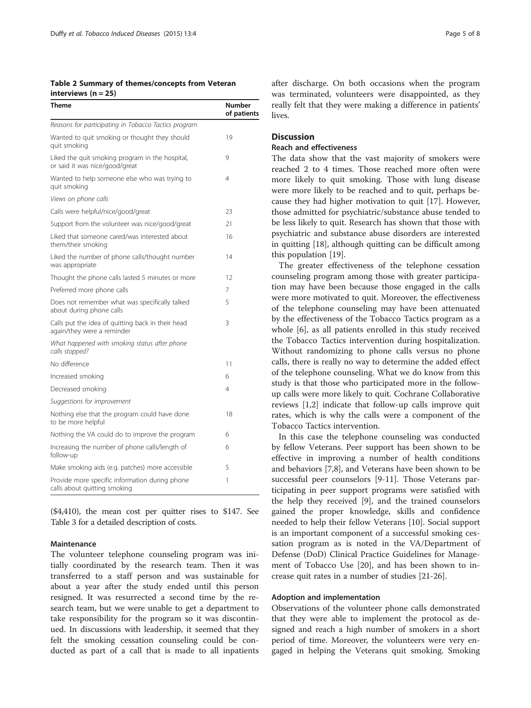<span id="page-4-0"></span>Table 2 Summary of themes/concepts from Veteran interviews  $(n = 25)$ 

| Theme                                                                             | <b>Number</b><br>of patients |
|-----------------------------------------------------------------------------------|------------------------------|
| Reasons for participating in Tobacco Tactics program                              |                              |
| Wanted to quit smoking or thought they should<br>quit smoking                     | 19                           |
| Liked the quit smoking program in the hospital,<br>or said it was nice/good/great | 9                            |
| Wanted to help someone else who was trying to<br>quit smoking                     | 4                            |
| Views on phone calls                                                              |                              |
| Calls were helpful/nice/good/great                                                | 23                           |
| Support from the volunteer was nice/good/great                                    | 21                           |
| Liked that someone cared/was interested about<br>them/their smoking               | 16                           |
| Liked the number of phone calls/thought number<br>was appropriate                 | 14                           |
| Thought the phone calls lasted 5 minutes or more                                  | 12                           |
| Preferred more phone calls                                                        | 7                            |
| Does not remember what was specifically talked<br>about during phone calls        | 5                            |
| Calls put the idea of quitting back in their head<br>again/they were a reminder   | 3                            |
| What happened with smoking status after phone<br>calls stopped?                   |                              |
| No difference                                                                     | 11                           |
| Increased smoking                                                                 | 6                            |
| Decreased smoking                                                                 | 4                            |
| Suggestions for improvement                                                       |                              |
| Nothing else that the program could have done<br>to be more helpful               | 18                           |
| Nothing the VA could do to improve the program                                    | 6                            |
| Increasing the number of phone calls/length of<br>follow-up                       | 6                            |
| Make smoking aids (e.g. patches) more accessible                                  | 5                            |
| Provide more specific information during phone<br>calls about quitting smoking    | 1                            |

(\$4,410), the mean cost per quitter rises to \$147. See Table [3](#page-5-0) for a detailed description of costs.

#### Maintenance

The volunteer telephone counseling program was initially coordinated by the research team. Then it was transferred to a staff person and was sustainable for about a year after the study ended until this person resigned. It was resurrected a second time by the research team, but we were unable to get a department to take responsibility for the program so it was discontinued. In discussions with leadership, it seemed that they felt the smoking cessation counseling could be conducted as part of a call that is made to all inpatients

after discharge. On both occasions when the program was terminated, volunteers were disappointed, as they really felt that they were making a difference in patients' lives.

# **Discussion**

# Reach and effectiveness

The data show that the vast majority of smokers were reached 2 to 4 times. Those reached more often were more likely to quit smoking. Those with lung disease were more likely to be reached and to quit, perhaps because they had higher motivation to quit [[17\]](#page-6-0). However, those admitted for psychiatric/substance abuse tended to be less likely to quit. Research has shown that those with psychiatric and substance abuse disorders are interested in quitting [\[18\]](#page-6-0), although quitting can be difficult among this population [[19\]](#page-6-0).

The greater effectiveness of the telephone cessation counseling program among those with greater participation may have been because those engaged in the calls were more motivated to quit. Moreover, the effectiveness of the telephone counseling may have been attenuated by the effectiveness of the Tobacco Tactics program as a whole [[6\]](#page-6-0), as all patients enrolled in this study received the Tobacco Tactics intervention during hospitalization. Without randomizing to phone calls versus no phone calls, there is really no way to determine the added effect of the telephone counseling. What we do know from this study is that those who participated more in the followup calls were more likely to quit. Cochrane Collaborative reviews [\[1](#page-6-0),[2](#page-6-0)] indicate that follow-up calls improve quit rates, which is why the calls were a component of the Tobacco Tactics intervention.

In this case the telephone counseling was conducted by fellow Veterans. Peer support has been shown to be effective in improving a number of health conditions and behaviors [[7](#page-6-0),[8\]](#page-6-0), and Veterans have been shown to be successful peer counselors [[9-11](#page-6-0)]. Those Veterans participating in peer support programs were satisfied with the help they received [[9\]](#page-6-0), and the trained counselors gained the proper knowledge, skills and confidence needed to help their fellow Veterans [\[10](#page-6-0)]. Social support is an important component of a successful smoking cessation program as is noted in the VA/Department of Defense (DoD) Clinical Practice Guidelines for Management of Tobacco Use [\[20\]](#page-6-0), and has been shown to increase quit rates in a number of studies [[21](#page-6-0)[-26](#page-7-0)].

#### Adoption and implementation

Observations of the volunteer phone calls demonstrated that they were able to implement the protocol as designed and reach a high number of smokers in a short period of time. Moreover, the volunteers were very engaged in helping the Veterans quit smoking. Smoking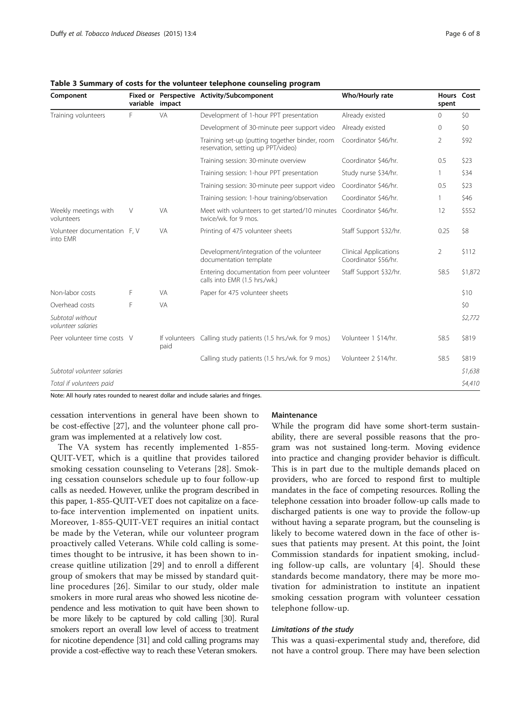| Component                                | variable impact |                       | Fixed or Perspective Activity/Subcomponent                                           | Who/Hourly rate                               | Hours Cost<br>spent |         |
|------------------------------------------|-----------------|-----------------------|--------------------------------------------------------------------------------------|-----------------------------------------------|---------------------|---------|
| Training volunteers                      | F               | VA                    | Development of 1-hour PPT presentation                                               | Already existed                               | $\mathbf{0}$        | \$0     |
|                                          |                 |                       | Development of 30-minute peer support video                                          | Already existed                               | $\mathbf 0$         | \$0     |
|                                          |                 |                       | Training set-up (putting together binder, room<br>reservation, setting up PPT/video) | Coordinator \$46/hr.                          | 2                   | \$92    |
|                                          |                 |                       | Training session: 30-minute overview                                                 | Coordinator \$46/hr.                          | 0.5                 | \$23    |
|                                          |                 |                       | Training session: 1-hour PPT presentation                                            | Study nurse \$34/hr.                          | 1                   | \$34    |
|                                          |                 |                       | Training session: 30-minute peer support video                                       | Coordinator \$46/hr.                          | 0.5                 | \$23    |
|                                          |                 |                       | Training session: 1-hour training/observation                                        | Coordinator \$46/hr.                          | 1                   | \$46    |
| Weekly meetings with<br>volunteers       | V               | VA                    | Meet with volunteers to get started/10 minutes<br>twice/wk. for 9 mos.               | Coordinator \$46/hr.                          | 12                  | \$552   |
| Volunteer documentation F, V<br>into FMR |                 | VA                    | Printing of 475 volunteer sheets                                                     | Staff Support \$32/hr.                        | 0.25                | \$8     |
|                                          |                 |                       | Development/integration of the volunteer<br>documentation template                   | Clinical Applications<br>Coordinator \$56/hr. | $\overline{2}$      | \$112   |
|                                          |                 |                       | Entering documentation from peer volunteer<br>calls into EMR (1.5 hrs./wk.)          | Staff Support \$32/hr.                        | 58.5                | \$1,872 |
| Non-labor costs                          | F               | VA                    | Paper for 475 volunteer sheets                                                       |                                               |                     | \$10    |
| Overhead costs                           | F               | VA                    |                                                                                      |                                               |                     | \$0     |
| Subtotal without<br>volunteer salaries   |                 |                       |                                                                                      |                                               |                     | \$2,772 |
| Peer volunteer time costs V              |                 | If volunteers<br>paid | Calling study patients (1.5 hrs./wk. for 9 mos.)                                     | Volunteer 1 \$14/hr.                          | 58.5                | \$819   |
|                                          |                 |                       | Calling study patients (1.5 hrs./wk. for 9 mos.)                                     | Volunteer 2 \$14/hr.                          | 58.5                | \$819   |
| Subtotal volunteer salaries              |                 |                       |                                                                                      |                                               |                     | \$1,638 |
| Total if volunteers paid                 |                 |                       |                                                                                      |                                               |                     | \$4,410 |

<span id="page-5-0"></span>Table 3 Summary of costs for the volunteer telephone counseling program

Note: All hourly rates rounded to nearest dollar and include salaries and fringes.

cessation interventions in general have been shown to be cost-effective [\[27\]](#page-7-0), and the volunteer phone call program was implemented at a relatively low cost.

The VA system has recently implemented 1-855- QUIT-VET, which is a quitline that provides tailored smoking cessation counseling to Veterans [[28\]](#page-7-0). Smoking cessation counselors schedule up to four follow-up calls as needed. However, unlike the program described in this paper, 1-855-QUIT-VET does not capitalize on a faceto-face intervention implemented on inpatient units. Moreover, 1-855-QUIT-VET requires an initial contact be made by the Veteran, while our volunteer program proactively called Veterans. While cold calling is sometimes thought to be intrusive, it has been shown to increase quitline utilization [\[29](#page-7-0)] and to enroll a different group of smokers that may be missed by standard quitline procedures [\[26\]](#page-7-0). Similar to our study, older male smokers in more rural areas who showed less nicotine dependence and less motivation to quit have been shown to be more likely to be captured by cold calling [\[30](#page-7-0)]. Rural smokers report an overall low level of access to treatment for nicotine dependence [\[31](#page-7-0)] and cold calling programs may provide a cost-effective way to reach these Veteran smokers.

#### **Maintenance**

While the program did have some short-term sustainability, there are several possible reasons that the program was not sustained long-term. Moving evidence into practice and changing provider behavior is difficult. This is in part due to the multiple demands placed on providers, who are forced to respond first to multiple mandates in the face of competing resources. Rolling the telephone cessation into broader follow-up calls made to discharged patients is one way to provide the follow-up without having a separate program, but the counseling is likely to become watered down in the face of other issues that patients may present. At this point, the Joint Commission standards for inpatient smoking, including follow-up calls, are voluntary [[4](#page-6-0)]. Should these standards become mandatory, there may be more motivation for administration to institute an inpatient smoking cessation program with volunteer cessation telephone follow-up.

#### Limitations of the study

This was a quasi-experimental study and, therefore, did not have a control group. There may have been selection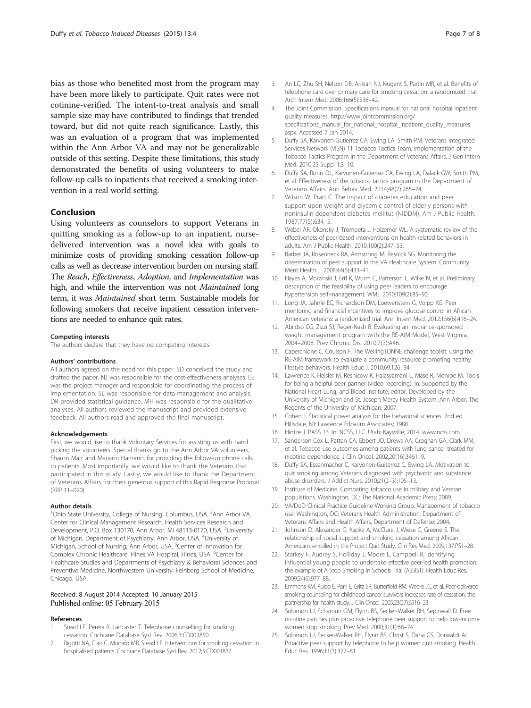<span id="page-6-0"></span>bias as those who benefited most from the program may have been more likely to participate. Quit rates were not cotinine-verified. The intent-to-treat analysis and small sample size may have contributed to findings that trended toward, but did not quite reach significance. Lastly, this was an evaluation of a program that was implemented within the Ann Arbor VA and may not be generalizable outside of this setting. Despite these limitations, this study demonstrated the benefits of using volunteers to make follow-up calls to inpatients that received a smoking intervention in a real world setting.

# Conclusion

Using volunteers as counselors to support Veterans in quitting smoking as a follow-up to an inpatient, nursedelivered intervention was a novel idea with goals to minimize costs of providing smoking cessation follow-up calls as well as decrease intervention burden on nursing staff. The Reach, Effectiveness, Adoption, and Implementation was high, and while the intervention was not Maintained long term, it was Maintained short term. Sustainable models for following smokers that receive inpatient cessation interventions are needed to enhance quit rates.

#### Competing interests

The authors declare that they have no competing interests.

#### Authors' contributions

All authors agreed on the need for this paper. SD conceived the study and drafted the paper. NJ was responsible for the cost-effectiveness analyses. LE was the project manager and responsible for coordinating the process of implementation. SL was responsible for data management and analysis. DR provided statistical guidance. MH was responsible for the qualitative analyses. All authors reviewed the manuscript and provided extensive feedback. All authors read and approved the final manuscript.

#### Acknowledgements

First, we would like to thank Voluntary Services for assisting us with hand picking the volunteers. Special thanks go to the Ann Arbor VA volunteers, Sharon Marr and Mariann Hamann, for providing the follow-up phone calls to patients. Most importantly, we would like to thank the Veterans that participated in this study. Lastly, we would like to thank the Department of Veterans Affairs for their generous support of this Rapid Response Proposal (RRP 11–020).

#### Author details

<sup>1</sup>Ohio State University, College of Nursing, Columbus, USA. <sup>2</sup>Ann Arbor VA Center for Clinical Management Research, Health Services Research and Development, P.O. Box 130170, Ann Arbor, MI 48113-0170, USA. <sup>3</sup>University of Michigan, Department of Psychiatry, Ann Arbor, USA. <sup>4</sup>University of Michigan, School of Nursing, Ann Arbor, USA. <sup>5</sup>Center of Innovation for Complex Chronic Healthcare, Hines VA Hospital, Hines, USA. <sup>6</sup>Center for Healthcare Studies and Departments of Psychiatry & Behavioral Sciences and Preventive Medicine, Northwestern University, Feinberg School of Medicine, Chicago, USA.

#### Received: 8 August 2014 Accepted: 10 January 2015 Published online: 05 February 2015

#### References

- 1. Stead LF, Perera R, Lancaster T. Telephone counselling for smoking cessation. Cochrane Database Syst Rev. 2006;3:CD002850.
- 2. Rigotti NA, Clair C, Munafo MR, Stead LF. Interventions for smoking cessation in hospitalised patients. Cochrane Database Syst Rev. 2012;5:CD001837.
- 3. An LC, Zhu SH, Nelson DB, Arikian NJ, Nugent S, Partin MR, et al. Benefits of telephone care over primary care for smoking cessation: a randomized trial. Arch Intern Med. 2006;166(5):536–42.
- 4. The Joint Commission. Specifications manual for national hospital inpatient quality measures. [http://www.jointcommission.org/](http://www.jointcommission.org/specifications_manual_for_national_hospital_inpatient_quality_measures.aspx) [specifications\\_manual\\_for\\_national\\_hospital\\_inpatient\\_quality\\_measures.](http://www.jointcommission.org/specifications_manual_for_national_hospital_inpatient_quality_measures.aspx) [aspx](http://www.jointcommission.org/specifications_manual_for_national_hospital_inpatient_quality_measures.aspx). Accessed 7 Jan 2014.
- 5. Duffy SA, Karvonen-Gutierrez CA, Ewing LA, Smith PM, Veterans Integrated Services Network (VISN) 11 Tobacco Tactics Team. Implementation of the Tobacco Tactics Program in the Department of Veterans Affairs. J Gen Intern Med. 2010;25 Suppl 1:3–10.
- 6. Duffy SA, Ronis DL, Karvonen-Gutierrez CA, Ewing LA, Dalack GW, Smith PM, et al. Effectiveness of the tobacco tactics program in the Department of Veterans Affairs. Ann Behav Med. 2014;48(2):265–74.
- 7. Wilson W, Pratt C. The impact of diabetes education and peer support upon weight and glycemic control of elderly persons with noninsulin dependent diabetes mellitus (NIDDM). Am J Public Health. 1987;77(5):634–5.
- 8. Webel AR, Okonsky J, Trompeta J, Holzemer WL. A systematic review of the effectiveness of peer-based interventions on health-related behaviors in adults. Am J Public Health. 2010;100(2):247–53.
- 9. Barber JA, Rosenheck RA, Armstrong M, Resnick SG. Monitoring the dissemination of peer support in the VA Healthcare System. Community Ment Health J. 2008;44(6):433–41.
- 10. Hayes A, Morzinski J, Ertl K, Wurm C, Patterson L, Wilke N, et al. Preliminary description of the feasibility of using peer leaders to encourage hypertension self-management. WMJ. 2010;109(2):85–90.
- 11. Long JA, Jahnle EC, Richardson DM, Loewenstein G, Volpp KG. Peer mentoring and financial incentives to improve glucose control in African American veterans: a randomized trial. Ann Intern Med. 2012;156(6):416–24.
- 12. Abildso CG, Zizzi SJ, Reger-Nash B. Evaluating an insurance-sponsored weight management program with the RE-AIM Model, West Virginia, 2004–2008. Prev Chronic Dis. 2010;7(3):A46.
- 13. Caperchione C, Coulson F. The WellingTONNE challenge toolkit: using the RE-AIM framework to evaluate a community resource promoting healthy lifestyle behaviors. Health Educ J. 2010;69:126–34.
- 14. Lawrence K, Heisler M, Resnicow K, Halasyamani L, Mase R, Monroe M. Tools for being a helpful peer partner (video recording). In: Supported by the National Heart Lung, and Blood Institute, editor. Developed by the University of Michigan and St. Joseph Mercy Health System. Ann Arbor: The Regents of the University of Michigan; 2007.
- 15. Cohen J. Statistical power analysis for the behavioral sciences. 2nd ed. Hillsdale, NJ: Lawrence Erlbaum Associates; 1988.
- 16. Hintze J. PASS 13. In: NCSS, LLC. Utah: Kaysville; 2014. [www.ncss.com](http://www.ncss.com/).
- 17. Sanderson Cox L, Patten CA, Ebbert JO, Drews AA, Croghan GA, Clark MM, et al. Tobacco use outcomes among patients with lung cancer treated for nicotine dependence. J Clin Oncol. 2002;20(16):3461–9.
- 18. Duffy SA, Essenmacher C, Karvonen-Guiterrez C, Ewing LA. Motivation to quit smoking among Veterans diagnosed with psychiatric and substance abuse disorders. J Addict Nurs. 2010;21(2–3):105–13.
- 19. Institute of Medicine. Combating tobacco use in military and Veteran populations. Washington, DC: The National Academic Press; 2009.
- 20. VA/DoD Clinical Practice Guideline Working Group. Management of tobacco use. Washington, DC: Veterans Health Administration, Department of Veterans Affairs and Health Affairs, Department of Defense; 2004.
- 21. Johnson D, Alexander G, Kapke A, McClure J, Wiese C, Greene S. The relationship of social support and smoking cessation among African Americans enrolled in the Project Quit Study. Clin Res Med. 2009;137:PS1–28.
- 22. Starkey F, Audrey S, Holliday J, Moore L, Campbell R. Identifying influential young people to undertake effective peer-led health promotion: the example of A Stop Smoking In Schools Trial (ASSIST). Health Educ Res. 2009;24(6):977–88.
- 23. Emmons KM, Puleo E, Park E, Gritz ER, Butterfield RM, Weeks JC, et al. Peer-delivered smoking counseling for childhood cancer survivors increases rate of cessation: the partnership for health study. J Clin Oncol. 2005;23(27):6516–23.
- 24. Solomon LJ, Scharoun GM, Flynn BS, Secker-Walker RH, Sepinwall D. Free nicotine patches plus proactive telephone peer support to help low-income women stop smoking. Prev Med. 2000;31(1):68–74.
- 25. Solomon LJ, Secker-Walker RH, Flynn BS, Christ S, Dana GS, Dorwaldt AL. Proactive peer support by telephone to help women quit smoking. Health Educ Res. 1996;11(3):377–81.